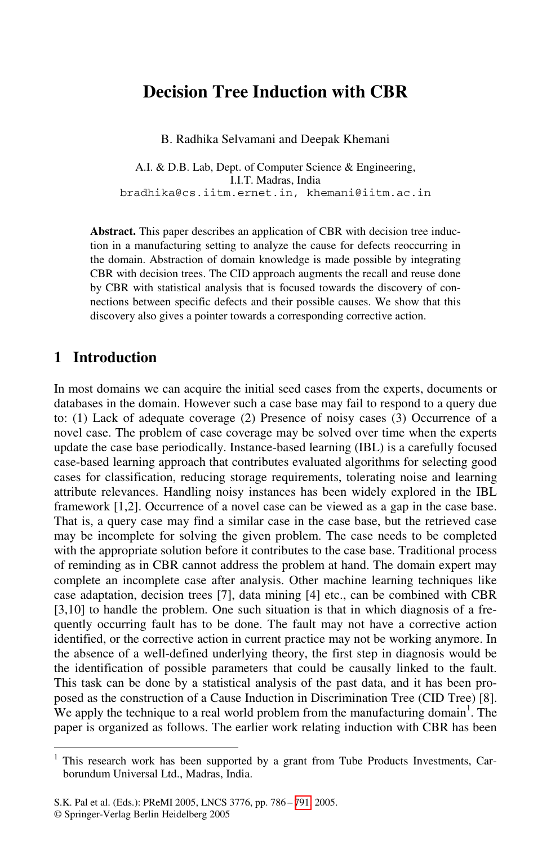# **Decision Tree Induction with CBR**

B. Radhika Selvamani and Deepak Khemani

A.I. & D.B. Lab, Dept. of Computer Science & Engineering, I.I.T. Madras, India bradhika@cs.iitm.ernet.in, khemani@iitm.ac.in

**Abstract.** This paper describes an application of CBR with decision tree induction in a manufacturing setting to analyze the cause for defects reoccurring in the domain. Abstraction of domain knowledge is made possible by integrating CBR with decision trees. The CID approach augments the recall and reuse done by CBR with statistical analysis that is focused towards the discovery of connections between specific defects and their possible causes. We show that this discovery also gives a pointer towards a corresponding corrective action.

### **1 Introduction**

In most domains we can acquire the initial seed cases from the experts, documents or databases in the domain. However such a case base may fail to respond to a query due to: (1) Lack of adequate coverage (2) Presence of noisy cases (3) Occurrence of a novel case. The problem of case coverage may be solved over time when the experts update the case base periodically. Instance-based learning (IBL) is a carefully focused case-based learning approach that contributes evaluated algorithms for selecting good cases for classification, reducing storage requirements, tolerating noise and learning attribute relevances. Handling noisy instances has been widely explored in the IBL framework [1,2]. Occurrence of a novel case can be viewed as a gap in the case base. That is, a query case may find a similar case in the case base, but the retrieved case may be incomplete for solving the given problem. The case needs to be completed with the appropriate solution before it contributes to the case base. Traditional process of reminding as in CBR cannot address the problem at hand. The domain expert may complete an incomplete case after analysis. Other machine learning techniques like case adaptation, decision trees [7], data mining [4] etc., can be combined with CBR [3,10] to handle the problem. One such situation is that in which diagnosis of a frequently occurring fault has to be done. The fault may not have a corrective action identified, or the corrective action in current practice may not be working anymore. In the absence of a well-defined underlying theory, the first step in diagnosis would be the identification of possible parameters that could be causally linked to the fault. This task can be done by a statistical analysis of the past data, and it has been proposed as the construction [of a](#page-5-0) Cause Induction in Discrimination Tree (CID Tree) [8]. We apply the technique to a real world problem from the manufacturing domain<sup>1</sup>. The paper is organized as follows. The earlier work relating induction with CBR has been

-

<sup>1</sup> This research work has been supported by a grant from Tube Products Investments, Carborundum Universal Ltd., Madras, India.

S.K. Pal et al. (Eds.): PReMI 2005, LNCS 3776, pp. 786 – 791, 2005.

<sup>©</sup> Springer-Verlag Berlin Heidelberg 2005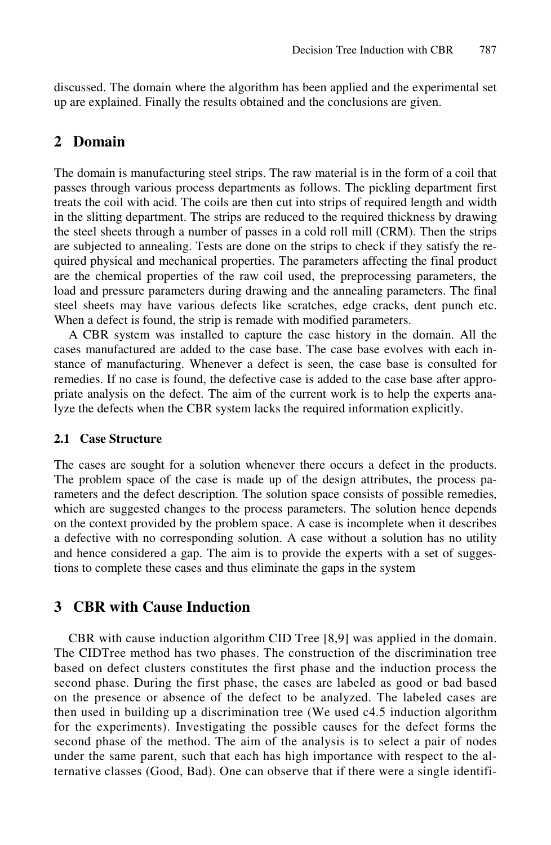discussed. The domain where the algorithm has been applied and the experimental set up are explained. Finally the results obtained and the conclusions are given.

# **2 Domain**

The domain is manufacturing steel strips. The raw material is in the form of a coil that passes through various process departments as follows. The pickling department first treats the coil with acid. The coils are then cut into strips of required length and width in the slitting department. The strips are reduced to the required thickness by drawing the steel sheets through a number of passes in a cold roll mill (CRM). Then the strips are subjected to annealing. Tests are done on the strips to check if they satisfy the required physical and mechanical properties. The parameters affecting the final product are the chemical properties of the raw coil used, the preprocessing parameters, the load and pressure parameters during drawing and the annealing parameters. The final steel sheets may have various defects like scratches, edge cracks, dent punch etc. When a defect is found, the strip is remade with modified parameters.

A CBR system was installed to capture the case history in the domain. All the cases manufactured are added to the case base. The case base evolves with each instance of manufacturing. Whenever a defect is seen, the case base is consulted for remedies. If no case is found, the defective case is added to the case base after appropriate analysis on the defect. The aim of the current work is to help the experts analyze the defects when the CBR system lacks the required information explicitly.

#### **2.1 Case Structure**

The cases are sought for a solution whenever there occurs a defect in the products. The problem space of the case is made up of the design attributes, the process parameters and the defect description. The solution space consists of possible remedies, which are suggested changes to the process parameters. The solution hence depends on the context provided by the problem space. A case is incomplete when it describes a defective with no corresponding solution. A case without a solution has no utility and hence considered a gap. The aim is to provide the experts with a set of suggestions to complete these cases and thus eliminate the gaps in the system

## **3 CBR with Cause Induction**

CBR with cause induction algorithm CID Tree [8,9] was applied in the domain. The CIDTree method has two phases. The construction of the discrimination tree based on defect clusters constitutes the first phase and the induction process the second phase. During the first phase, the cases are labeled as good or bad based on the presence or absence of the defect to be analyzed. The labeled cases are then used in building up a discrimination tree (We used c4.5 induction algorithm for the experiments). Investigating the possible causes for the defect forms the second phase of the method. The aim of the analysis is to select a pair of nodes under the same parent, such that each has high importance with respect to the alternative classes (Good, Bad). One can observe that if there were a single identifi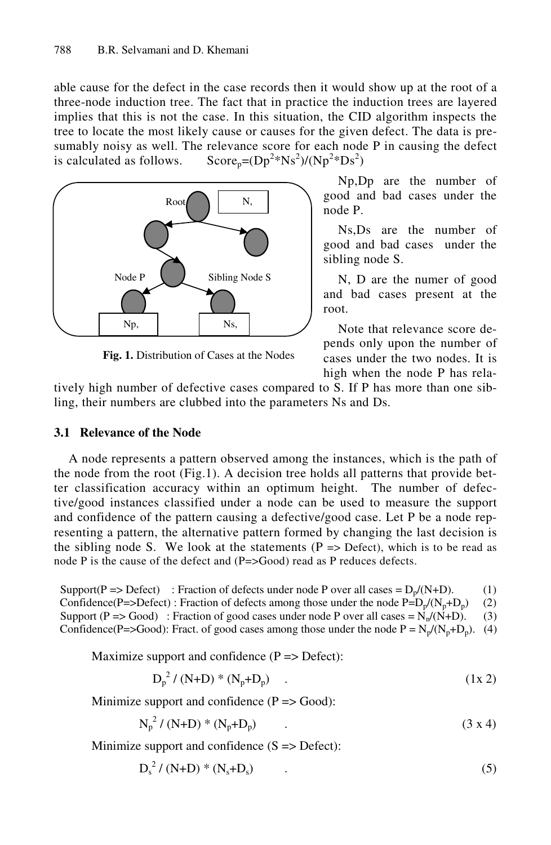able cause for the defect in the case records then it would show up at the root of a three-node induction tree. The fact that in practice the induction trees are layered implies that this is not the case. In this situation, the CID algorithm inspects the tree to locate the most likely cause or causes for the given defect. The data is presumably noisy as well. The relevance score for each node P in causing the defect is calculated as follows. \*Ns<sup>2</sup>)/(Np<sup>2</sup>\*Ds<sup>2</sup>)



**Fig. 1.** Distribution of Cases at the Nodes

Np,Dp are the number of good and bad cases under the node P.

Ns,Ds are the number of good and bad cases under the sibling node S.

N, D are the numer of good and bad cases present at the root.

Note that relevance score depends only upon the number of cases under the two nodes. It is high when the node P has rela-

tively high number of defective cases compared to S. If P has more than one sibling, their numbers are clubbed into the parameters Ns and Ds.

#### **3.1 Relevance of the Node**

A node represents a pattern observed among the instances, which is the path of the node from the root (Fig.1). A decision tree holds all patterns that provide better classification accuracy within an optimum height. The number of defective/good instances classified under a node can be used to measure the support and confidence of the pattern causing a defective/good case. Let P be a node representing a pattern, the alternative pattern formed by changing the last decision is the sibling node S. We look at the statements ( $P \Rightarrow$  Defect), which is to be read as node P is the cause of the defect and (P=>Good) read as P reduces defects.

Support( $P \Rightarrow$  Defect) : Fraction of defects under node P over all cases =  $D_p/(N+D)$ . (1) Confidence(P=>Defect) : Fraction of defects among those under the node  $P = D_p/(N_p + D_p)$  (2) Support (P => Good) : Fraction of good cases under node P over all cases =  $N_n/(N+D)$ . (3) Confidence(P=>Good): Fract. of good cases among those under the node  $P = N_p/(N_p+D_p)$ . (4)

Maximize support and confidence  $(P \Rightarrow Defect)$ :

$$
D_p^2 / (N+D)^* (N_p + D_p) \quad . \tag{1x 2}
$$

Minimize support and confidence  $(P \Rightarrow Good)$ :

$$
N_p^2 / (N+D) * (N_p + D_p) \tag{3 x 4}
$$

Minimize support and confidence  $(S = > Defect)$ :

$$
D_s^2 / (N+D) * (N_s + D_s) \tag{5}
$$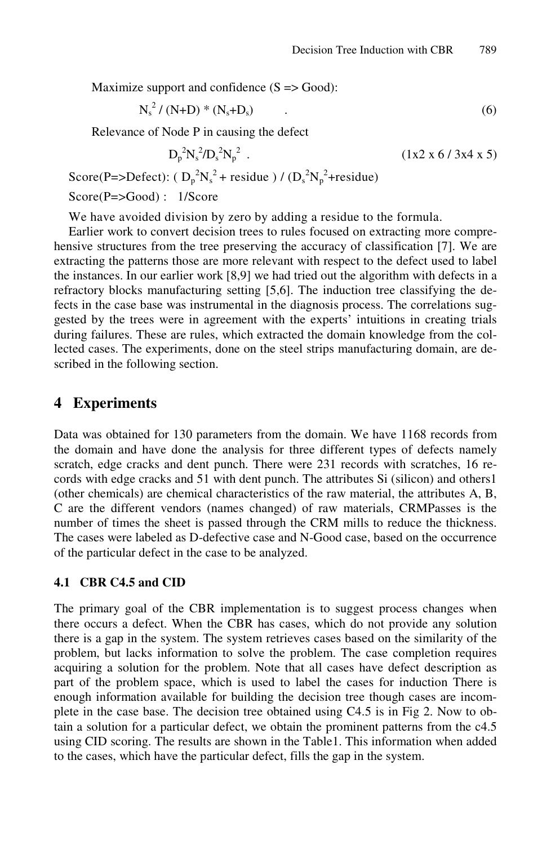Maximize support and confidence  $(S = > Good)$ :

$$
N_s^2 / (N+D) * (N_s + D_s)
$$
 (6)

Relevance of Node P in causing the defect

$$
D_p^2 N_s^2 / D_s^2 N_p^2 \t\t(1x2 \times 6 / 3x4 \times 5)
$$

Score(P=>Defect):  $(D_p^2N_s^2 + \text{residue}) / (D_s^2N_p^2 + \text{residue})$ 

Score(P=>Good) : 1/Score

We have avoided division by zero by adding a residue to the formula.

Earlier work to convert decision trees to rules focused on extracting more comprehensive structures from the tree preserving the accuracy of classification [7]. We are extracting the patterns those are more relevant with respect to the defect used to label the instances. In our earlier work [8,9] we had tried out the algorithm with defects in a refractory blocks manufacturing setting [5,6]. The induction tree classifying the defects in the case base was instrumental in the diagnosis process. The correlations suggested by the trees were in agreement with the experts' intuitions in creating trials during failures. These are rules, which extracted the domain knowledge from the collected cases. The experiments, done on the steel strips manufacturing domain, are described in the following section.

### **4 Experiments**

Data was obtained for 130 parameters from the domain. We have 1168 records from the domain and have done the analysis for three different types of defects namely scratch, edge cracks and dent punch. There were 231 records with scratches, 16 records with edge cracks and 51 with dent punch. The attributes Si (silicon) and others1 (other chemicals) are chemical characteristics of the raw material, the attributes A, B, C are the different vendors (names changed) of raw materials, CRMPasses is the number of times the sheet is passed through the CRM mills to reduce the thickness. The cases were labeled as D-defective case and N-Good case, based on the occurrence of the particular defect in the case to be analyzed.

#### **4.1 CBR C4.5 and CID**

The primary goal of the CBR implementation is to suggest process changes when there occurs a defect. When the CBR has cases, which do not provide any solution there is a gap in the system. The system retrieves cases based on the similarity of the problem, but lacks information to solve the problem. The case completion requires acquiring a solution for the problem. Note that all cases have defect description as part of the problem space, which is used to label the cases for induction There is enough information available for building the decision tree though cases are incomplete in the case base. The decision tree obtained using C4.5 is in Fig 2. Now to obtain a solution for a particular defect, we obtain the prominent patterns from the c4.5 using CID scoring. The results are shown in the Table1. This information when added to the cases, which have the particular defect, fills the gap in the system.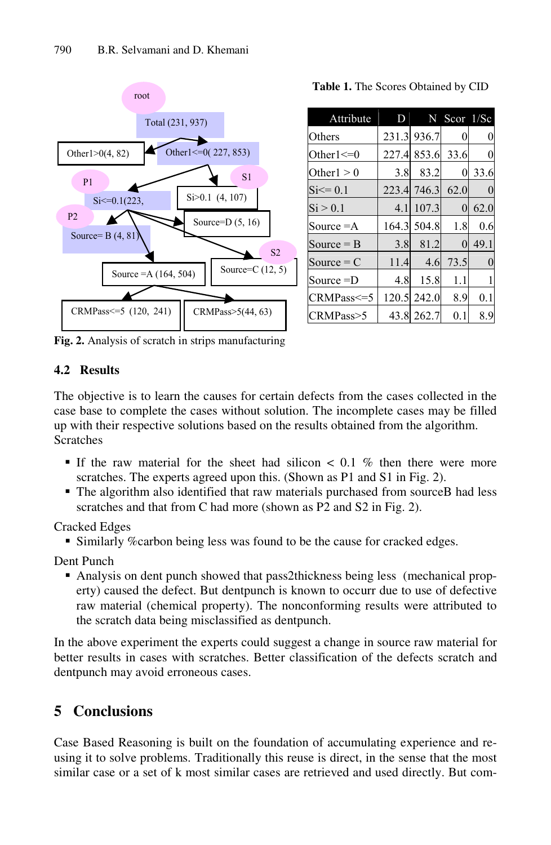

| Attribute       | - D  |                  | $N \mid$ Scor   1/Sc |      |
|-----------------|------|------------------|----------------------|------|
| Others          |      | 231.3 936.7      | 0                    |      |
| Other $1 \le 0$ |      | 227.4 853.6 33.6 |                      |      |
| Other $1 > 0$   | 3.8  | 83.2             | $\overline{0}$       | 33.6 |
| $Si \le 0.1$    |      | 223.4 746.3      | 62.0                 | 0    |
| Si > 0.1        | 4.1  | 107.3            | $\vert 0 \vert$      | 62.0 |
| Source $=A$     |      | 164.3 504.8      | 1.8                  | 0.6  |
| Source = $B$    | 3.8  | 81.2             | $\Omega$             | 49.1 |
| Source = $C$    | 11.4 | -4.6             | 73.5                 |      |
| Source $=D$     | 4.8  | 15.8             | 1.1                  |      |
| CRMPass<=5      |      | 120.5 242.0      | 8.9                  | 0.1  |
| CRMPass>5       |      | 43.8 262.7       | 0.1                  | 8.9  |

**Table 1.** The Scores Obtained by CID

**Fig. 2.** Analysis of scratch in strips manufacturing

## **4.2 Results**

The objective is to learn the causes for certain defects from the cases collected in the case base to complete the cases without solution. The incomplete cases may be filled up with their respective solutions based on the results obtained from the algorithm. Scratches

- If the raw material for the sheet had silicon  $\lt 0.1$  % then there were more scratches. The experts agreed upon this. (Shown as P1 and S1 in Fig. 2).
- The algorithm also identified that raw materials purchased from sourceB had less scratches and that from C had more (shown as P2 and S2 in Fig. 2).

Cracked Edges

Similarly %carbon being less was found to be the cause for cracked edges.

Dent Punch

 Analysis on dent punch showed that pass2thickness being less (mechanical property) caused the defect. But dentpunch is known to occurr due to use of defective raw material (chemical property). The nonconforming results were attributed to the scratch data being misclassified as dentpunch.

In the above experiment the experts could suggest a change in source raw material for better results in cases with scratches. Better classification of the defects scratch and dentpunch may avoid erroneous cases.

# **5 Conclusions**

Case Based Reasoning is built on the foundation of accumulating experience and reusing it to solve problems. Traditionally this reuse is direct, in the sense that the most similar case or a set of k most similar cases are retrieved and used directly. But com